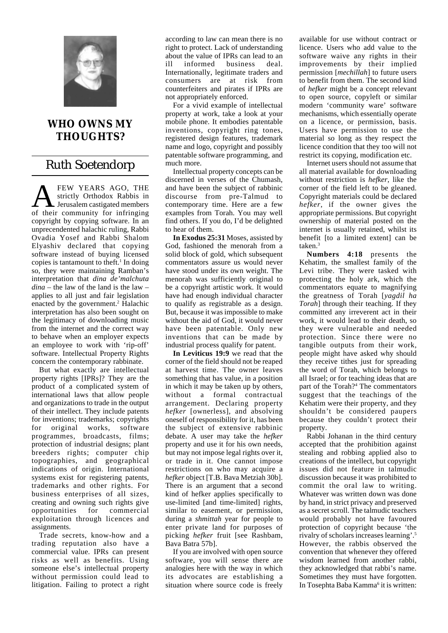

## **WHO OWNS MY THOUGHTS?**

## Ruth Soetendorp

**AMELARS AGO, THE**<br>
Jerusalem castigated members<br>
of their community for infringing strictly Orthodox Rabbis in of their community for infringing copyright by copying software. In an unprecendented halachic ruling, Rabbi Ovadia Yosef and Rabbi Shalom Elyashiv declared that copying software instead of buying licensed copies is tantamount to theft.<sup>1</sup> In doing so, they were maintaining Ramban's interpretation that *dina de'malchuta dina* – the law of the land is the law – applies to all just and fair legislation enacted by the government.<sup>2</sup> Halachic interpretation has also been sought on the legitimacy of downloading music from the internet and the correct way to behave when an employer expects an employee to work with 'rip-off' software. Intellectual Property Rights concern the contemporary rabbinate.

But what exactly are intellectual property rights [IPRs]? They are the product of a complicated system of international laws that allow people and organizations to trade in the output of their intellect. They include patents for inventions; trademarks; copyrights for original works, software programmes, broadcasts, films; protection of industrial designs; plant breeders rights; computer chip topographies, and geographical indications of origin. International systems exist for registering patents, trademarks and other rights. For business enterprises of all sizes, creating and owning such rights give opportunities for commercial exploitation through licences and assignments.

Trade secrets, know-how and a trading reputation also have a commercial value. IPRs can present risks as well as benefits. Using someone else's intellectual property without permission could lead to litigation. Failing to protect a right

according to law can mean there is no right to protect. Lack of understanding about the value of IPRs can lead to an ill informed business deal. Internationally, legitimate traders and consumers are at risk from counterfeiters and pirates if IPRs are not appropriately enforced.

For a vivid example of intellectual property at work, take a look at your mobile phone. It embodies patentable inventions, copyright ring tones, registered design features, trademark name and logo, copyright and possibly patentable software programming, and much more.

Intellectual property concepts can be discerned in verses of the Chumash, and have been the subject of rabbinic discourse from pre-Talmud to contemporary time. Here are a few examples from Torah. You may well find others. If you do, I'd be delighted to hear of them.

**In Exodus 25:31** Moses, assisted by God, fashioned the menorah from a solid block of gold, which subsequent commentators assure us would never have stood under its own weight. The menorah was sufficiently original to be a copyright artistic work. It would have had enough individual character to qualify as registrable as a design. But, because it was impossible to make without the aid of God, it would never have been patentable. Only new inventions that can be made by industrial process qualify for patent.

**In Leviticus 19:9** we read that the corner of the field should not be reaped at harvest time. The owner leaves something that has value, in a position in which it may be taken up by others, without a formal contractual arrangement. Declaring property *hefker* [ownerless], and absolving oneself of responsibility for it, has been the subject of extensive rabbinic debate. A user may take the *hefker* property and use it for his own needs, but may not impose legal rights over it, or trade in it. One cannot impose restrictions on who may acquire a *hefker* object [T.B. Bava Metziah 30b]. There is an argument that a second kind of hefker applies specifically to use-limited [and time-limited] rights, similar to easement, or permission, during a *shmittah* year for people to enter private land for purposes of picking *hefker* fruit [see Rashbam, Bava Batra 57b].

If you are involved with open source software, you will sense there are analogies here with the way in which its advocates are establishing a situation where source code is freely

available for use without contract or licence. Users who add value to the software waive any rights in their improvements by their implied permission [*mechillah*] to future users to benefit from them. The second kind of *hefker* might be a concept relevant to open source, copyleft or similar modern 'community ware' software mechanisms, which essentially operate on a licence, or permission, basis. Users have permission to use the material so long as they respect the licence condition that they too will not restrict its copying, modification etc.

Internet users should not assume that all material available for downloading without restriction is *hefker*, like the corner of the field left to be gleaned. Copyright materials could be declared *hefker*, if the owner gives the appropriate permissions. But copyright ownership of material posted on the internet is usually retained, whilst its benefit [to a limited extent] can be taken.3

**Numbers 4:18** presents the Kehatim, the smallest family of the Levi tribe. They were tasked with protecting the holy ark, which the commentators equate to magnifying the greatness of Torah [*yagdil ha Torah*] through their teaching. If they committed any irreverent act in their work, it would lead to their death, so they were vulnerable and needed protection. Since there were no tangible outputs from their work, people might have asked why should they receive tithes just for spreading the word of Torah, which belongs to all Israel; or for teaching ideas that are part of the Torah?4 The commentators suggest that the teachings of the Kehatim were their property, and they shouldn't be considered paupers because they couldn't protect their property.

Rabbi Johanan in the third century accepted that the prohibition against stealing and robbing applied also to creations of the intellect, but copyright issues did not feature in talmudic discussion because it was prohibited to commit the oral law to writing. Whatever was written down was done by hand, in strict privacy and preserved as a secret scroll. The talmudic teachers would probably not have favoured protection of copyright because 'the rivalry of scholars increases learning'.5 However, the rabbis observed the convention that whenever they offered wisdom learned from another rabbi, they acknowledged that rabbi's name. Sometimes they must have forgotten. In Tosephta Baba Kamma<sup>6</sup> it is written: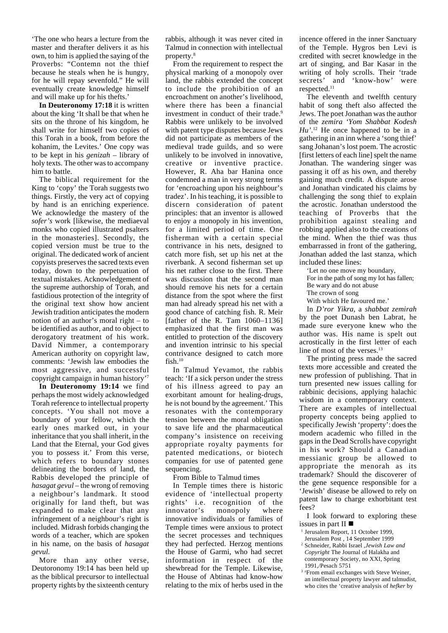'The one who hears a lecture from the master and therafter delivers it as his own, to him is applied the saying of the Proverbs: "Contemn not the thief because he steals when he is hungry, for he will repay sevenfold." He will eventually create knowledge himself and will make up for his thefts.'

**In Deuteronomy 17:18** it is written about the king 'It shall be that when he sits on the throne of his kingdom, he shall write for himself two copies of this Torah in a book, from before the kohanim, the Levites.' One copy was to be kept in his *genizah* – library of holy texts. The other was to accompany him to battle.

The biblical requirement for the King to 'copy' the Torah suggests two things. Firstly, the very act of copying by hand is an enriching experience. We acknowledge the mastery of the *sofer's* work [likewise, the mediaeval monks who copied illustrated psalters in the monasteries]. Secondly, the copied version must be true to the original. The dedicated work of ancient copyists preserves the sacred texts even today, down to the perpetuation of textual mistakes. Acknowledgement of the supreme authorship of Torah, and fastidious protection of the integrity of the original text show how ancient Jewish tradition anticipates the modern notion of an author's moral right – to be identified as author, and to object to derogatory treatment of his work. David Nimmer, a contemporary American authority on copyright law, comments: 'Jewish law embodies the most aggressive, and successful copyright campaign in human history'7

**In Deuteronomy 19:14** we find perhaps the most widely acknowledged Torah reference to intellectual property concepts. 'You shall not move a boundary of your fellow, which the early ones marked out, in your inheritance that you shall inherit, in the Land that the Eternal, your God gives you to possess it.' From this verse, which refers to boundary stones delineating the borders of land, the Rabbis developed the principle of *hasagat gevul* – the wrong of removing a neighbour's landmark. It stood originally for land theft, but was expanded to make clear that any infringement of a neighbour's right is included. Midrash forbids changing the words of a teacher, which are spoken in his name, on the basis of *hasagat gevul.*

More than any other verse, Deutoronomy 19:14 has been held up as the biblical precursor to intellectual property rights by the sixteenth century rabbis, although it was never cited in Talmud in connection with intellectual property.8

From the requirement to respect the physical marking of a monopoly over land, the rabbis extended the concept to include the prohibition of an encroachment on another's livelihood, where there has been a financial investment in conduct of their trade.<sup>9</sup> Rabbis were unlikely to be involved with patent type disputes because Jews did not participate as members of the medieval trade guilds, and so were unlikely to be involved in innovative, creative or inventive practice. However, R. Aha bar Hanina once condemned a man in very strong terms for 'encroaching upon his neighbour's tradez'. In his teaching, it is possible to discern consideration of patent principles: that an inventor is allowed to enjoy a monopoly in his invention, for a limited period of time. One fisherman with a certain special contrivance in his nets, designed to catch more fish, set up his net at the riverbank. A second fisherman set up his net rather close to the first. There was discussion that the second man should remove his nets for a certain distance from the spot where the first man had already spread his net with a good chance of catching fish. R. Meir [father of the R. Tam 1060–1136] emphasized that the first man was entitled to protection of the discovery and invention intrinsic to his special contrivance designed to catch more fish. $10$ 

In Talmud Yevamot, the rabbis teach: 'If a sick person under the stress of his illness agreed to pay an exorbitant amount for healing-drugs, he is not bound by the agreement.' This resonates with the contemporary tension between the moral obligation to save life and the pharmaceutical company's insistence on receiving appropriate royalty payments for patented medications, or biotech companies for use of patented gene sequencing.

From Bible to Talmud times

In Temple times there is historic evidence of 'intellectual property rights' i.e. recognition of the innovator's monopoly where innovative individuals or families of Temple times were anxious to protect the secret processes and techniques they had perfected. Herzog mentions the House of Garmi, who had secret information in respect of the shewbread for the Temple. Likewise, the House of Abtinas had know-how relating to the mix of herbs used in the incence offered in the inner Sanctuary of the Temple. Hygros ben Levi is credited with secret knowledge in the art of singing, and Bar Kasar in the writing of holy scrolls. Their 'trade secrets' and 'know-how' were respected.11

The eleventh and twelfth century habit of song theft also affected the Jews. The poet Jonathan was the author of the *zemira 'Yom Shabbat Kodesh Hu'*. 12 He once happened to be in a gathering in an inn where a 'song thief' sang Johanan's lost poem. The acrostic [first letters of each line] spelt the name Jonathan. The wandering singer was passing it off as his own, and thereby gaining much credit. A dispute arose and Jonathan vindicated his claims by challenging the song thief to explain the acrostic. Jonathan understood the teaching of Proverbs that the prohibition against stealing and robbing applied also to the creations of the mind. When the thief was thus embarrassed in front of the gathering, Jonathan added the last stanza, which included these lines:

'Let no one move my boundary, For in the path of song my lot has fallen;

Be wary and do not abuse The crown of song

With which He favoured me.'

In *D'ror Yikra*, a *shabbat zemirah* by the poet Dunash ben Labrat, he made sure everyone knew who the author was. His name is spelt out acrostically in the first letter of each line of most of the verses.<sup>13</sup>

The printing press made the sacred texts more accessible and created the new profession of publishing. That in turn presented new issues calling for rabbinic decisions, applying halachic wisdom in a contemporary context. There are examples of intellectual property concepts being applied to specifically Jewish 'property': does the modern academic who filled in the gaps in the Dead Scrolls have copyright in his work? Should a Canadian messianic group be allowed to appropriate the menorah as its trademark? Should the discoverer of the gene sequence responsible for a 'Jewish' disease be allowed to rely on patent law to charge exhorbitant test fees?

I look forward to exploring these issues in part II

- <sup>1</sup> Jerusalem Report, 11 October 1999, Jerusalem Post , 14 September 1999
- <sup>2</sup> Schneider, Rabbi Israel ,*Jewish Law and Copyright* The Journal of Halakha and contemporary Society, no XXI, Spring 1991,/Pesach 5751
- <sup>3</sup> <sup>z</sup>From email exchanges with Steve Weiner, an intellectual property lawyer and talmudist, who cites the 'creative analysis of *hefker* by